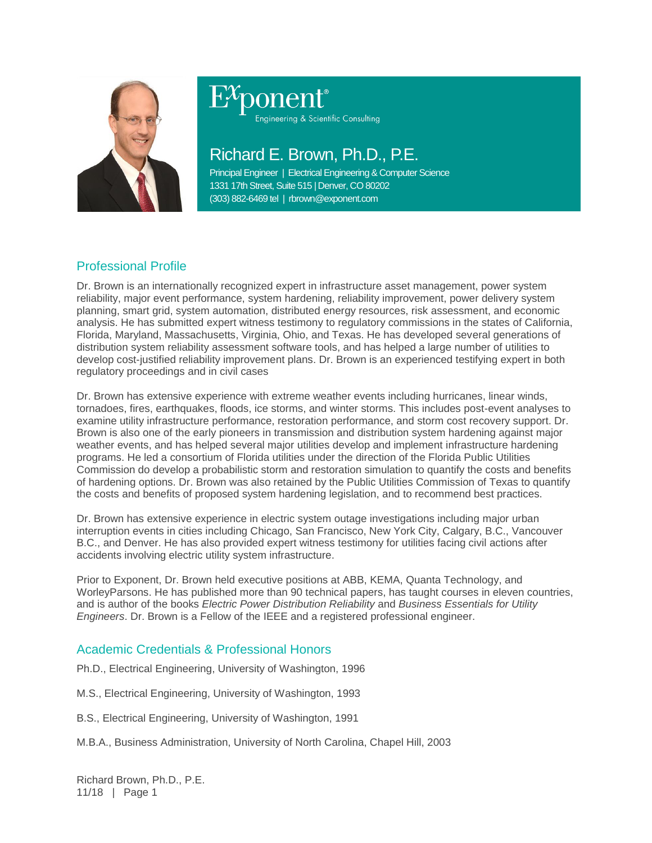

# ponent®

Engineering & Scientific Consulting

# Richard E. Brown, Ph.D., P.E.

Principal Engineer | Electrical Engineering & Computer Science 1331 17th Street, Suite 515 | Denver, CO 80202 (303) 882-6469 tel | rbrown@exponent.com

# Professional Profile

Dr. Brown is an internationally recognized expert in infrastructure asset management, power system reliability, major event performance, system hardening, reliability improvement, power delivery system planning, smart grid, system automation, distributed energy resources, risk assessment, and economic analysis. He has submitted expert witness testimony to regulatory commissions in the states of California, Florida, Maryland, Massachusetts, Virginia, Ohio, and Texas. He has developed several generations of distribution system reliability assessment software tools, and has helped a large number of utilities to develop cost-justified reliability improvement plans. Dr. Brown is an experienced testifying expert in both regulatory proceedings and in civil cases

Dr. Brown has extensive experience with extreme weather events including hurricanes, linear winds, tornadoes, fires, earthquakes, floods, ice storms, and winter storms. This includes post-event analyses to examine utility infrastructure performance, restoration performance, and storm cost recovery support. Dr. Brown is also one of the early pioneers in transmission and distribution system hardening against major weather events, and has helped several major utilities develop and implement infrastructure hardening programs. He led a consortium of Florida utilities under the direction of the Florida Public Utilities Commission do develop a probabilistic storm and restoration simulation to quantify the costs and benefits of hardening options. Dr. Brown was also retained by the Public Utilities Commission of Texas to quantify the costs and benefits of proposed system hardening legislation, and to recommend best practices.

Dr. Brown has extensive experience in electric system outage investigations including major urban interruption events in cities including Chicago, San Francisco, New York City, Calgary, B.C., Vancouver B.C., and Denver. He has also provided expert witness testimony for utilities facing civil actions after accidents involving electric utility system infrastructure.

Prior to Exponent, Dr. Brown held executive positions at ABB, KEMA, Quanta Technology, and WorleyParsons. He has published more than 90 technical papers, has taught courses in eleven countries, and is author of the books *Electric Power Distribution Reliability* and *Business Essentials for Utility Engineers*. Dr. Brown is a Fellow of the IEEE and a registered professional engineer.

# Academic Credentials & Professional Honors

Ph.D., Electrical Engineering, University of Washington, 1996

M.S., Electrical Engineering, University of Washington, 1993

B.S., Electrical Engineering, University of Washington, 1991

M.B.A., Business Administration, University of North Carolina, Chapel Hill, 2003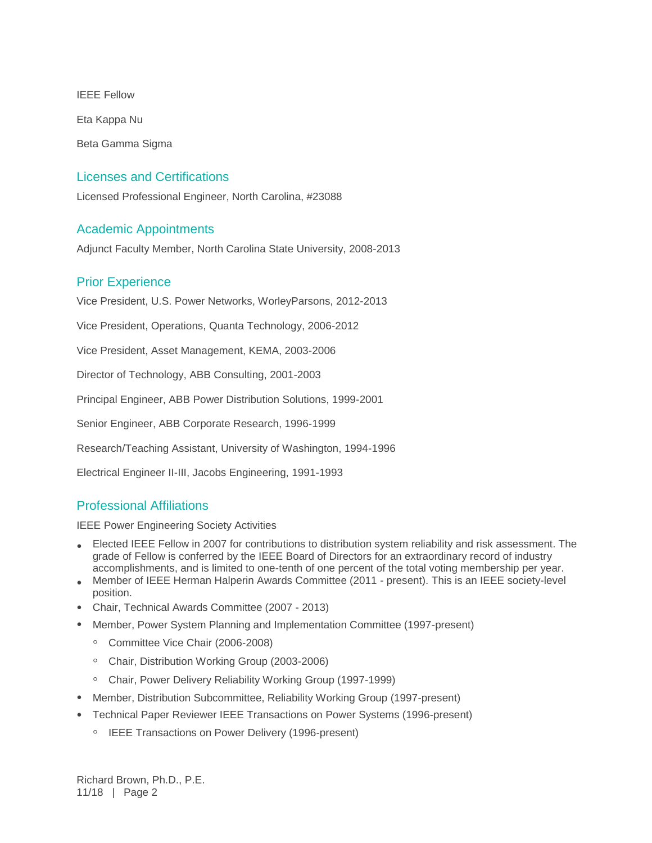IEEE Fellow Eta Kappa Nu Beta Gamma Sigma

# Licenses and Certifications

Licensed Professional Engineer, North Carolina, #23088

# Academic Appointments

Adjunct Faculty Member, North Carolina State University, 2008-2013

# Prior Experience

Vice President, U.S. Power Networks, WorleyParsons, 2012-2013

Vice President, Operations, Quanta Technology, 2006-2012

Vice President, Asset Management, KEMA, 2003-2006

Director of Technology, ABB Consulting, 2001-2003

Principal Engineer, ABB Power Distribution Solutions, 1999-2001

Senior Engineer, ABB Corporate Research, 1996-1999

Research/Teaching Assistant, University of Washington, 1994-1996

Electrical Engineer II-III, Jacobs Engineering, 1991-1993

# Professional Affiliations

IEEE Power Engineering Society Activities

- Elected IEEE Fellow in 2007 for contributions to distribution system reliability and risk assessment. The grade of Fellow is conferred by the IEEE Board of Directors for an extraordinary record of industry accomplishments, and is limited to one-tenth of one percent of the total voting membership per year.
- Member of IEEE Herman Halperin Awards Committee (2011 present). This is an IEEE society-level position.
- Chair, Technical Awards Committee (2007 2013)
- Member, Power System Planning and Implementation Committee (1997-present)
	- Committee Vice Chair (2006-2008)
	- Chair, Distribution Working Group (2003-2006)
	- Chair, Power Delivery Reliability Working Group (1997-1999)
- Member, Distribution Subcommittee, Reliability Working Group (1997-present)
- Technical Paper Reviewer IEEE Transactions on Power Systems (1996-present)
	- IEEE Transactions on Power Delivery (1996-present)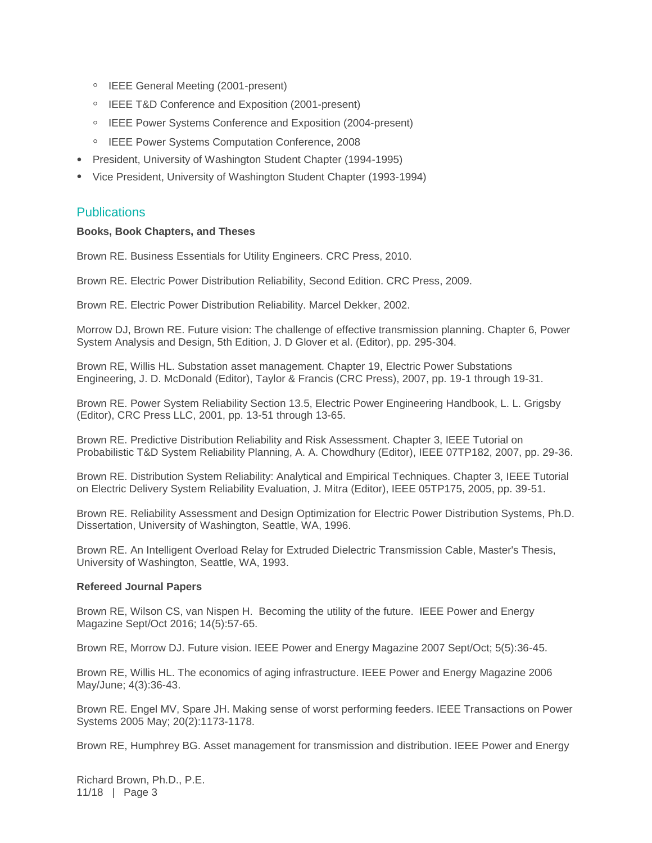- IEEE General Meeting (2001-present)
- IEEE T&D Conference and Exposition (2001-present)
- IEEE Power Systems Conference and Exposition (2004-present)
- IEEE Power Systems Computation Conference, 2008
- President, University of Washington Student Chapter (1994-1995)
- Vice President, University of Washington Student Chapter (1993-1994)

#### **Publications**

#### **Books, Book Chapters, and Theses**

Brown RE. Business Essentials for Utility Engineers. CRC Press, 2010.

Brown RE. Electric Power Distribution Reliability, Second Edition. CRC Press, 2009.

Brown RE. Electric Power Distribution Reliability. Marcel Dekker, 2002.

Morrow DJ, Brown RE. Future vision: The challenge of effective transmission planning. Chapter 6, Power System Analysis and Design, 5th Edition, J. D Glover et al. (Editor), pp. 295-304.

Brown RE, Willis HL. Substation asset management. Chapter 19, Electric Power Substations Engineering, J. D. McDonald (Editor), Taylor & Francis (CRC Press), 2007, pp. 19-1 through 19-31.

Brown RE. Power System Reliability Section 13.5, Electric Power Engineering Handbook, L. L. Grigsby (Editor), CRC Press LLC, 2001, pp. 13-51 through 13-65.

Brown RE. Predictive Distribution Reliability and Risk Assessment. Chapter 3, IEEE Tutorial on Probabilistic T&D System Reliability Planning, A. A. Chowdhury (Editor), IEEE 07TP182, 2007, pp. 29-36.

Brown RE. Distribution System Reliability: Analytical and Empirical Techniques. Chapter 3, IEEE Tutorial on Electric Delivery System Reliability Evaluation, J. Mitra (Editor), IEEE 05TP175, 2005, pp. 39-51.

Brown RE. Reliability Assessment and Design Optimization for Electric Power Distribution Systems, Ph.D. Dissertation, University of Washington, Seattle, WA, 1996.

Brown RE. An Intelligent Overload Relay for Extruded Dielectric Transmission Cable, Master's Thesis, University of Washington, Seattle, WA, 1993.

#### **Refereed Journal Papers**

Brown RE, Wilson CS, van Nispen H. Becoming the utility of the future. IEEE Power and Energy Magazine Sept/Oct 2016; 14(5):57-65.

Brown RE, Morrow DJ. Future vision. IEEE Power and Energy Magazine 2007 Sept/Oct; 5(5):36-45.

Brown RE, Willis HL. The economics of aging infrastructure. IEEE Power and Energy Magazine 2006 May/June; 4(3):36-43.

Brown RE. Engel MV, Spare JH. Making sense of worst performing feeders. IEEE Transactions on Power Systems 2005 May; 20(2):1173-1178.

Brown RE, Humphrey BG. Asset management for transmission and distribution. IEEE Power and Energy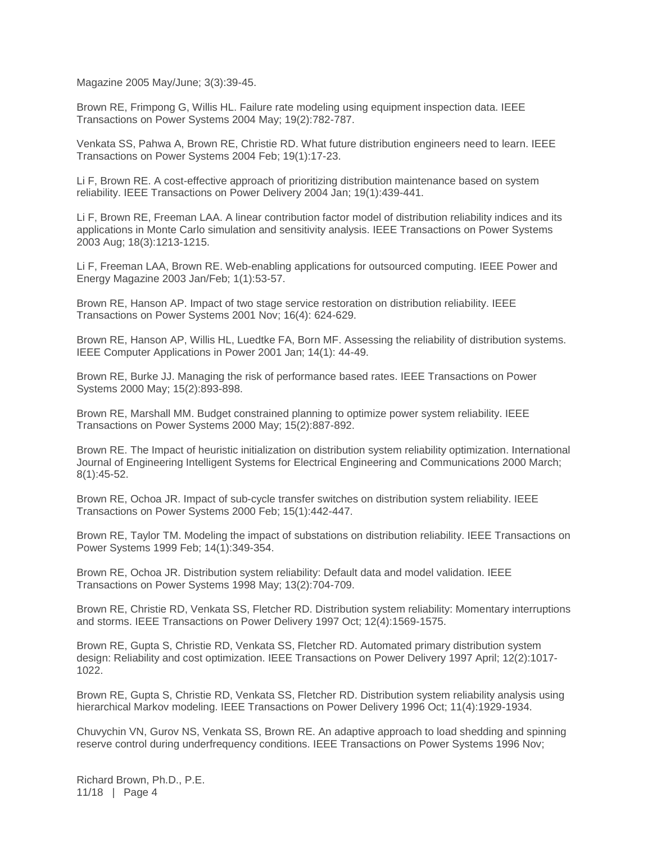Magazine 2005 May/June; 3(3):39-45.

Brown RE, Frimpong G, Willis HL. Failure rate modeling using equipment inspection data. IEEE Transactions on Power Systems 2004 May; 19(2):782-787.

Venkata SS, Pahwa A, Brown RE, Christie RD. What future distribution engineers need to learn. IEEE Transactions on Power Systems 2004 Feb; 19(1):17-23.

Li F, Brown RE. A cost-effective approach of prioritizing distribution maintenance based on system reliability. IEEE Transactions on Power Delivery 2004 Jan; 19(1):439-441.

Li F, Brown RE, Freeman LAA. A linear contribution factor model of distribution reliability indices and its applications in Monte Carlo simulation and sensitivity analysis. IEEE Transactions on Power Systems 2003 Aug; 18(3):1213-1215.

Li F, Freeman LAA, Brown RE. Web-enabling applications for outsourced computing. IEEE Power and Energy Magazine 2003 Jan/Feb; 1(1):53-57.

Brown RE, Hanson AP. Impact of two stage service restoration on distribution reliability. IEEE Transactions on Power Systems 2001 Nov; 16(4): 624-629.

Brown RE, Hanson AP, Willis HL, Luedtke FA, Born MF. Assessing the reliability of distribution systems. IEEE Computer Applications in Power 2001 Jan; 14(1): 44-49.

Brown RE, Burke JJ. Managing the risk of performance based rates. IEEE Transactions on Power Systems 2000 May; 15(2):893-898.

Brown RE, Marshall MM. Budget constrained planning to optimize power system reliability. IEEE Transactions on Power Systems 2000 May; 15(2):887-892.

Brown RE. The Impact of heuristic initialization on distribution system reliability optimization. International Journal of Engineering Intelligent Systems for Electrical Engineering and Communications 2000 March; 8(1):45-52.

Brown RE, Ochoa JR. Impact of sub-cycle transfer switches on distribution system reliability. IEEE Transactions on Power Systems 2000 Feb; 15(1):442-447.

Brown RE, Taylor TM. Modeling the impact of substations on distribution reliability. IEEE Transactions on Power Systems 1999 Feb; 14(1):349-354.

Brown RE, Ochoa JR. Distribution system reliability: Default data and model validation. IEEE Transactions on Power Systems 1998 May; 13(2):704-709.

Brown RE, Christie RD, Venkata SS, Fletcher RD. Distribution system reliability: Momentary interruptions and storms. IEEE Transactions on Power Delivery 1997 Oct; 12(4):1569-1575.

Brown RE, Gupta S, Christie RD, Venkata SS, Fletcher RD. Automated primary distribution system design: Reliability and cost optimization. IEEE Transactions on Power Delivery 1997 April; 12(2):1017- 1022.

Brown RE, Gupta S, Christie RD, Venkata SS, Fletcher RD. Distribution system reliability analysis using hierarchical Markov modeling. IEEE Transactions on Power Delivery 1996 Oct; 11(4):1929-1934.

Chuvychin VN, Gurov NS, Venkata SS, Brown RE. An adaptive approach to load shedding and spinning reserve control during underfrequency conditions. IEEE Transactions on Power Systems 1996 Nov;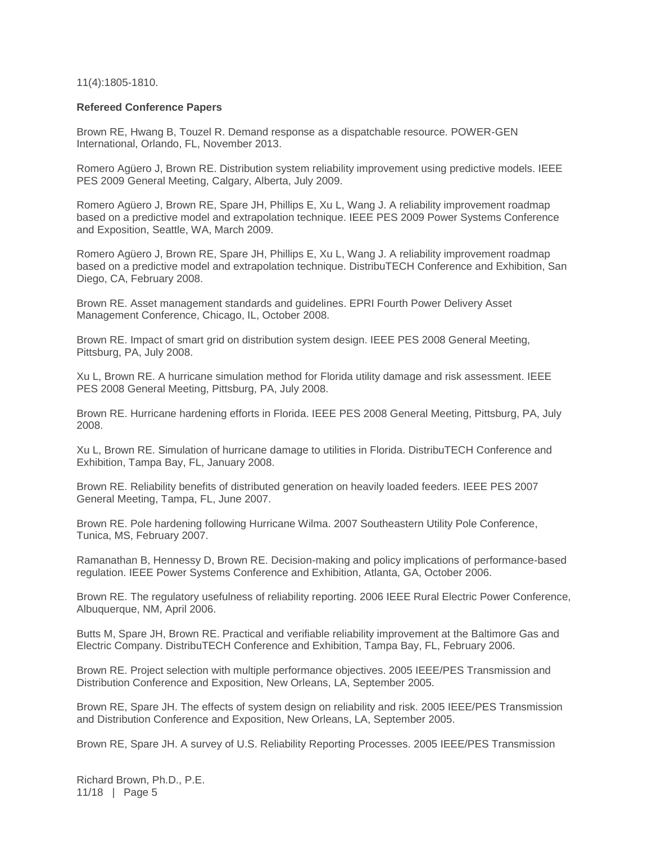11(4):1805-1810.

#### **Refereed Conference Papers**

Brown RE, Hwang B, Touzel R. Demand response as a dispatchable resource. POWER-GEN International, Orlando, FL, November 2013.

Romero Agüero J, Brown RE. Distribution system reliability improvement using predictive models. IEEE PES 2009 General Meeting, Calgary, Alberta, July 2009.

Romero Agüero J, Brown RE, Spare JH, Phillips E, Xu L, Wang J. A reliability improvement roadmap based on a predictive model and extrapolation technique. IEEE PES 2009 Power Systems Conference and Exposition, Seattle, WA, March 2009.

Romero Agüero J, Brown RE, Spare JH, Phillips E, Xu L, Wang J. A reliability improvement roadmap based on a predictive model and extrapolation technique. DistribuTECH Conference and Exhibition, San Diego, CA, February 2008.

Brown RE. Asset management standards and guidelines. EPRI Fourth Power Delivery Asset Management Conference, Chicago, IL, October 2008.

Brown RE. Impact of smart grid on distribution system design. IEEE PES 2008 General Meeting, Pittsburg, PA, July 2008.

Xu L, Brown RE. A hurricane simulation method for Florida utility damage and risk assessment. IEEE PES 2008 General Meeting, Pittsburg, PA, July 2008.

Brown RE. Hurricane hardening efforts in Florida. IEEE PES 2008 General Meeting, Pittsburg, PA, July 2008.

Xu L, Brown RE. Simulation of hurricane damage to utilities in Florida. DistribuTECH Conference and Exhibition, Tampa Bay, FL, January 2008.

Brown RE. Reliability benefits of distributed generation on heavily loaded feeders. IEEE PES 2007 General Meeting, Tampa, FL, June 2007.

Brown RE. Pole hardening following Hurricane Wilma. 2007 Southeastern Utility Pole Conference, Tunica, MS, February 2007.

Ramanathan B, Hennessy D, Brown RE. Decision-making and policy implications of performance-based regulation. IEEE Power Systems Conference and Exhibition, Atlanta, GA, October 2006.

Brown RE. The regulatory usefulness of reliability reporting. 2006 IEEE Rural Electric Power Conference, Albuquerque, NM, April 2006.

Butts M, Spare JH, Brown RE. Practical and verifiable reliability improvement at the Baltimore Gas and Electric Company. DistribuTECH Conference and Exhibition, Tampa Bay, FL, February 2006.

Brown RE. Project selection with multiple performance objectives. 2005 IEEE/PES Transmission and Distribution Conference and Exposition, New Orleans, LA, September 2005.

Brown RE, Spare JH. The effects of system design on reliability and risk. 2005 IEEE/PES Transmission and Distribution Conference and Exposition, New Orleans, LA, September 2005.

Brown RE, Spare JH. A survey of U.S. Reliability Reporting Processes. 2005 IEEE/PES Transmission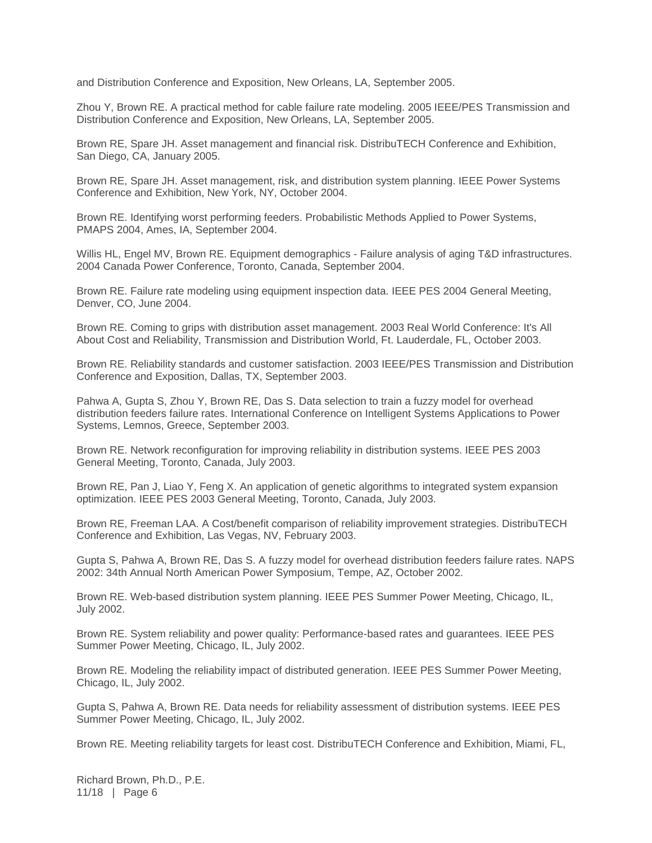and Distribution Conference and Exposition, New Orleans, LA, September 2005.

Zhou Y, Brown RE. A practical method for cable failure rate modeling. 2005 IEEE/PES Transmission and Distribution Conference and Exposition, New Orleans, LA, September 2005.

Brown RE, Spare JH. Asset management and financial risk. DistribuTECH Conference and Exhibition, San Diego, CA, January 2005.

Brown RE, Spare JH. Asset management, risk, and distribution system planning. IEEE Power Systems Conference and Exhibition, New York, NY, October 2004.

Brown RE. Identifying worst performing feeders. Probabilistic Methods Applied to Power Systems, PMAPS 2004, Ames, IA, September 2004.

Willis HL, Engel MV, Brown RE. Equipment demographics - Failure analysis of aging T&D infrastructures. 2004 Canada Power Conference, Toronto, Canada, September 2004.

Brown RE. Failure rate modeling using equipment inspection data. IEEE PES 2004 General Meeting, Denver, CO, June 2004.

Brown RE. Coming to grips with distribution asset management. 2003 Real World Conference: It's All About Cost and Reliability, Transmission and Distribution World, Ft. Lauderdale, FL, October 2003.

Brown RE. Reliability standards and customer satisfaction. 2003 IEEE/PES Transmission and Distribution Conference and Exposition, Dallas, TX, September 2003.

Pahwa A, Gupta S, Zhou Y, Brown RE, Das S. Data selection to train a fuzzy model for overhead distribution feeders failure rates. International Conference on Intelligent Systems Applications to Power Systems, Lemnos, Greece, September 2003.

Brown RE. Network reconfiguration for improving reliability in distribution systems. IEEE PES 2003 General Meeting, Toronto, Canada, July 2003.

Brown RE, Pan J, Liao Y, Feng X. An application of genetic algorithms to integrated system expansion optimization. IEEE PES 2003 General Meeting, Toronto, Canada, July 2003.

Brown RE, Freeman LAA. A Cost/benefit comparison of reliability improvement strategies. DistribuTECH Conference and Exhibition, Las Vegas, NV, February 2003.

Gupta S, Pahwa A, Brown RE, Das S. A fuzzy model for overhead distribution feeders failure rates. NAPS 2002: 34th Annual North American Power Symposium, Tempe, AZ, October 2002.

Brown RE. Web-based distribution system planning. IEEE PES Summer Power Meeting, Chicago, IL, July 2002.

Brown RE. System reliability and power quality: Performance-based rates and guarantees. IEEE PES Summer Power Meeting, Chicago, IL, July 2002.

Brown RE. Modeling the reliability impact of distributed generation. IEEE PES Summer Power Meeting, Chicago, IL, July 2002.

Gupta S, Pahwa A, Brown RE. Data needs for reliability assessment of distribution systems. IEEE PES Summer Power Meeting, Chicago, IL, July 2002.

Brown RE. Meeting reliability targets for least cost. DistribuTECH Conference and Exhibition, Miami, FL,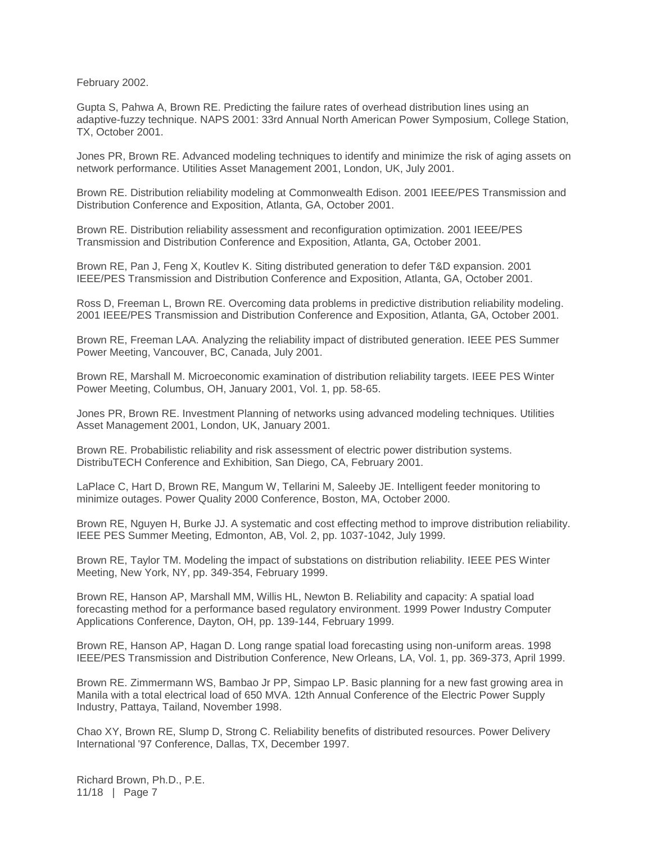February 2002.

Gupta S, Pahwa A, Brown RE. Predicting the failure rates of overhead distribution lines using an adaptive-fuzzy technique. NAPS 2001: 33rd Annual North American Power Symposium, College Station, TX, October 2001.

Jones PR, Brown RE. Advanced modeling techniques to identify and minimize the risk of aging assets on network performance. Utilities Asset Management 2001, London, UK, July 2001.

Brown RE. Distribution reliability modeling at Commonwealth Edison. 2001 IEEE/PES Transmission and Distribution Conference and Exposition, Atlanta, GA, October 2001.

Brown RE. Distribution reliability assessment and reconfiguration optimization. 2001 IEEE/PES Transmission and Distribution Conference and Exposition, Atlanta, GA, October 2001.

Brown RE, Pan J, Feng X, Koutlev K. Siting distributed generation to defer T&D expansion. 2001 IEEE/PES Transmission and Distribution Conference and Exposition, Atlanta, GA, October 2001.

Ross D, Freeman L, Brown RE. Overcoming data problems in predictive distribution reliability modeling. 2001 IEEE/PES Transmission and Distribution Conference and Exposition, Atlanta, GA, October 2001.

Brown RE, Freeman LAA. Analyzing the reliability impact of distributed generation. IEEE PES Summer Power Meeting, Vancouver, BC, Canada, July 2001.

Brown RE, Marshall M. Microeconomic examination of distribution reliability targets. IEEE PES Winter Power Meeting, Columbus, OH, January 2001, Vol. 1, pp. 58-65.

Jones PR, Brown RE. Investment Planning of networks using advanced modeling techniques. Utilities Asset Management 2001, London, UK, January 2001.

Brown RE. Probabilistic reliability and risk assessment of electric power distribution systems. DistribuTECH Conference and Exhibition, San Diego, CA, February 2001.

LaPlace C, Hart D, Brown RE, Mangum W, Tellarini M, Saleeby JE. Intelligent feeder monitoring to minimize outages. Power Quality 2000 Conference, Boston, MA, October 2000.

Brown RE, Nguyen H, Burke JJ. A systematic and cost effecting method to improve distribution reliability. IEEE PES Summer Meeting, Edmonton, AB, Vol. 2, pp. 1037-1042, July 1999.

Brown RE, Taylor TM. Modeling the impact of substations on distribution reliability. IEEE PES Winter Meeting, New York, NY, pp. 349-354, February 1999.

Brown RE, Hanson AP, Marshall MM, Willis HL, Newton B. Reliability and capacity: A spatial load forecasting method for a performance based regulatory environment. 1999 Power Industry Computer Applications Conference, Dayton, OH, pp. 139-144, February 1999.

Brown RE, Hanson AP, Hagan D. Long range spatial load forecasting using non-uniform areas. 1998 IEEE/PES Transmission and Distribution Conference, New Orleans, LA, Vol. 1, pp. 369-373, April 1999.

Brown RE. Zimmermann WS, Bambao Jr PP, Simpao LP. Basic planning for a new fast growing area in Manila with a total electrical load of 650 MVA. 12th Annual Conference of the Electric Power Supply Industry, Pattaya, Tailand, November 1998.

Chao XY, Brown RE, Slump D, Strong C. Reliability benefits of distributed resources. Power Delivery International '97 Conference, Dallas, TX, December 1997.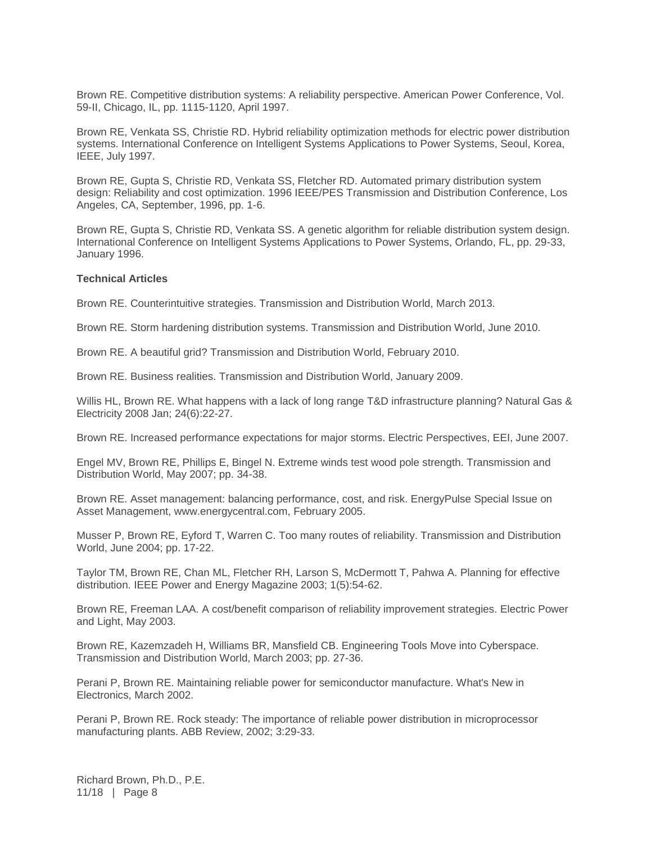Brown RE. Competitive distribution systems: A reliability perspective. American Power Conference, Vol. 59-II, Chicago, IL, pp. 1115-1120, April 1997.

Brown RE, Venkata SS, Christie RD. Hybrid reliability optimization methods for electric power distribution systems. International Conference on Intelligent Systems Applications to Power Systems, Seoul, Korea, IEEE, July 1997.

Brown RE, Gupta S, Christie RD, Venkata SS, Fletcher RD. Automated primary distribution system design: Reliability and cost optimization. 1996 IEEE/PES Transmission and Distribution Conference, Los Angeles, CA, September, 1996, pp. 1-6.

Brown RE, Gupta S, Christie RD, Venkata SS. A genetic algorithm for reliable distribution system design. International Conference on Intelligent Systems Applications to Power Systems, Orlando, FL, pp. 29-33, January 1996.

#### **Technical Articles**

Brown RE. Counterintuitive strategies. Transmission and Distribution World, March 2013.

Brown RE. Storm hardening distribution systems. Transmission and Distribution World, June 2010.

Brown RE. A beautiful grid? Transmission and Distribution World, February 2010.

Brown RE. Business realities. Transmission and Distribution World, January 2009.

Willis HL, Brown RE. What happens with a lack of long range T&D infrastructure planning? Natural Gas & Electricity 2008 Jan; 24(6):22-27.

Brown RE. Increased performance expectations for major storms. Electric Perspectives, EEI, June 2007.

Engel MV, Brown RE, Phillips E, Bingel N. Extreme winds test wood pole strength. Transmission and Distribution World, May 2007; pp. 34-38.

Brown RE. Asset management: balancing performance, cost, and risk. EnergyPulse Special Issue on Asset Management, www.energycentral.com, February 2005.

Musser P, Brown RE, Eyford T, Warren C. Too many routes of reliability. Transmission and Distribution World, June 2004; pp. 17-22.

Taylor TM, Brown RE, Chan ML, Fletcher RH, Larson S, McDermott T, Pahwa A. Planning for effective distribution. IEEE Power and Energy Magazine 2003; 1(5):54-62.

Brown RE, Freeman LAA. A cost/benefit comparison of reliability improvement strategies. Electric Power and Light, May 2003.

Brown RE, Kazemzadeh H, Williams BR, Mansfield CB. Engineering Tools Move into Cyberspace. Transmission and Distribution World, March 2003; pp. 27-36.

Perani P, Brown RE. Maintaining reliable power for semiconductor manufacture. What's New in Electronics, March 2002.

Perani P, Brown RE. Rock steady: The importance of reliable power distribution in microprocessor manufacturing plants. ABB Review, 2002; 3:29-33.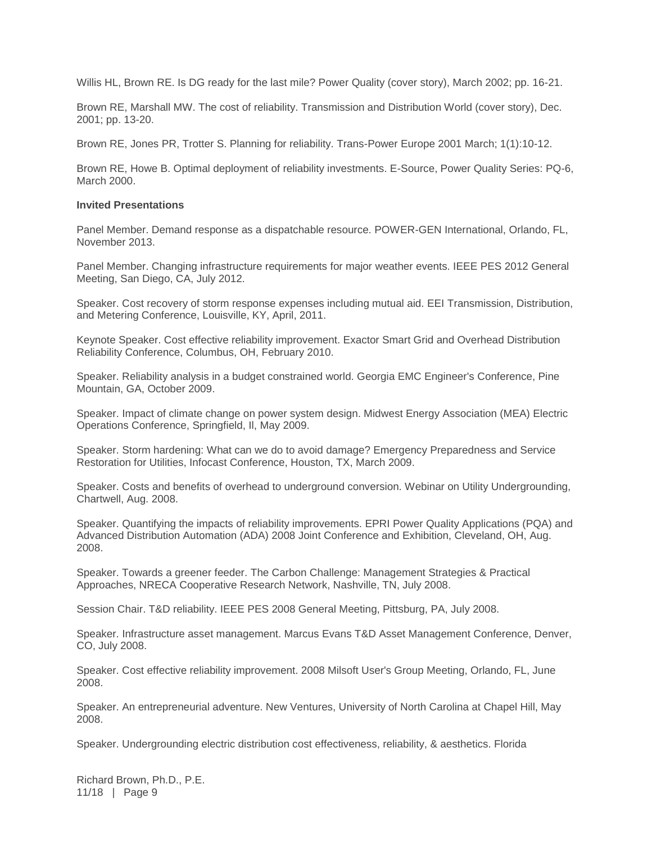Willis HL, Brown RE. Is DG ready for the last mile? Power Quality (cover story), March 2002; pp. 16-21.

Brown RE, Marshall MW. The cost of reliability. Transmission and Distribution World (cover story), Dec. 2001; pp. 13-20.

Brown RE, Jones PR, Trotter S. Planning for reliability. Trans-Power Europe 2001 March; 1(1):10-12.

Brown RE, Howe B. Optimal deployment of reliability investments. E-Source, Power Quality Series: PQ-6, March 2000.

#### **Invited Presentations**

Panel Member. Demand response as a dispatchable resource. POWER-GEN International, Orlando, FL, November 2013.

Panel Member. Changing infrastructure requirements for major weather events. IEEE PES 2012 General Meeting, San Diego, CA, July 2012.

Speaker. Cost recovery of storm response expenses including mutual aid. EEI Transmission, Distribution, and Metering Conference, Louisville, KY, April, 2011.

Keynote Speaker. Cost effective reliability improvement. Exactor Smart Grid and Overhead Distribution Reliability Conference, Columbus, OH, February 2010.

Speaker. Reliability analysis in a budget constrained world. Georgia EMC Engineer's Conference, Pine Mountain, GA, October 2009.

Speaker. Impact of climate change on power system design. Midwest Energy Association (MEA) Electric Operations Conference, Springfield, Il, May 2009.

Speaker. Storm hardening: What can we do to avoid damage? Emergency Preparedness and Service Restoration for Utilities, Infocast Conference, Houston, TX, March 2009.

Speaker. Costs and benefits of overhead to underground conversion. Webinar on Utility Undergrounding, Chartwell, Aug. 2008.

Speaker. Quantifying the impacts of reliability improvements. EPRI Power Quality Applications (PQA) and Advanced Distribution Automation (ADA) 2008 Joint Conference and Exhibition, Cleveland, OH, Aug. 2008.

Speaker. Towards a greener feeder. The Carbon Challenge: Management Strategies & Practical Approaches, NRECA Cooperative Research Network, Nashville, TN, July 2008.

Session Chair. T&D reliability. IEEE PES 2008 General Meeting, Pittsburg, PA, July 2008.

Speaker. Infrastructure asset management. Marcus Evans T&D Asset Management Conference, Denver, CO, July 2008.

Speaker. Cost effective reliability improvement. 2008 Milsoft User's Group Meeting, Orlando, FL, June 2008.

Speaker. An entrepreneurial adventure. New Ventures, University of North Carolina at Chapel Hill, May 2008.

Speaker. Undergrounding electric distribution cost effectiveness, reliability, & aesthetics. Florida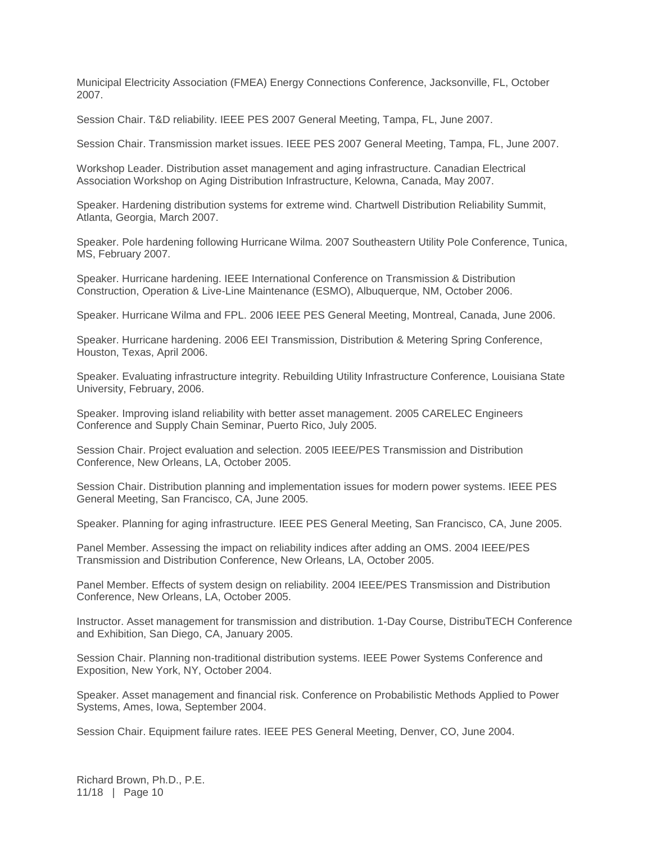Municipal Electricity Association (FMEA) Energy Connections Conference, Jacksonville, FL, October 2007.

Session Chair. T&D reliability. IEEE PES 2007 General Meeting, Tampa, FL, June 2007.

Session Chair. Transmission market issues. IEEE PES 2007 General Meeting, Tampa, FL, June 2007.

Workshop Leader. Distribution asset management and aging infrastructure. Canadian Electrical Association Workshop on Aging Distribution Infrastructure, Kelowna, Canada, May 2007.

Speaker. Hardening distribution systems for extreme wind. Chartwell Distribution Reliability Summit, Atlanta, Georgia, March 2007.

Speaker. Pole hardening following Hurricane Wilma. 2007 Southeastern Utility Pole Conference, Tunica, MS, February 2007.

Speaker. Hurricane hardening. IEEE International Conference on Transmission & Distribution Construction, Operation & Live-Line Maintenance (ESMO), Albuquerque, NM, October 2006.

Speaker. Hurricane Wilma and FPL. 2006 IEEE PES General Meeting, Montreal, Canada, June 2006.

Speaker. Hurricane hardening. 2006 EEI Transmission, Distribution & Metering Spring Conference, Houston, Texas, April 2006.

Speaker. Evaluating infrastructure integrity. Rebuilding Utility Infrastructure Conference, Louisiana State University, February, 2006.

Speaker. Improving island reliability with better asset management. 2005 CARELEC Engineers Conference and Supply Chain Seminar, Puerto Rico, July 2005.

Session Chair. Project evaluation and selection. 2005 IEEE/PES Transmission and Distribution Conference, New Orleans, LA, October 2005.

Session Chair. Distribution planning and implementation issues for modern power systems. IEEE PES General Meeting, San Francisco, CA, June 2005.

Speaker. Planning for aging infrastructure. IEEE PES General Meeting, San Francisco, CA, June 2005.

Panel Member. Assessing the impact on reliability indices after adding an OMS. 2004 IEEE/PES Transmission and Distribution Conference, New Orleans, LA, October 2005.

Panel Member. Effects of system design on reliability. 2004 IEEE/PES Transmission and Distribution Conference, New Orleans, LA, October 2005.

Instructor. Asset management for transmission and distribution. 1-Day Course, DistribuTECH Conference and Exhibition, San Diego, CA, January 2005.

Session Chair. Planning non-traditional distribution systems. IEEE Power Systems Conference and Exposition, New York, NY, October 2004.

Speaker. Asset management and financial risk. Conference on Probabilistic Methods Applied to Power Systems, Ames, Iowa, September 2004.

Session Chair. Equipment failure rates. IEEE PES General Meeting, Denver, CO, June 2004.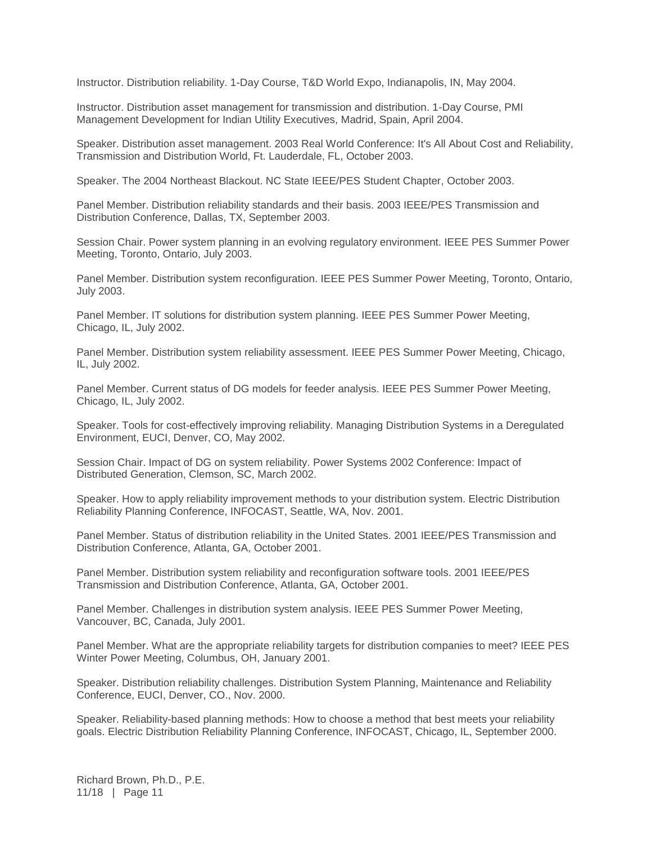Instructor. Distribution reliability. 1-Day Course, T&D World Expo, Indianapolis, IN, May 2004.

Instructor. Distribution asset management for transmission and distribution. 1-Day Course, PMI Management Development for Indian Utility Executives, Madrid, Spain, April 2004.

Speaker. Distribution asset management. 2003 Real World Conference: It's All About Cost and Reliability, Transmission and Distribution World, Ft. Lauderdale, FL, October 2003.

Speaker. The 2004 Northeast Blackout. NC State IEEE/PES Student Chapter, October 2003.

Panel Member. Distribution reliability standards and their basis. 2003 IEEE/PES Transmission and Distribution Conference, Dallas, TX, September 2003.

Session Chair. Power system planning in an evolving regulatory environment. IEEE PES Summer Power Meeting, Toronto, Ontario, July 2003.

Panel Member. Distribution system reconfiguration. IEEE PES Summer Power Meeting, Toronto, Ontario, July 2003.

Panel Member. IT solutions for distribution system planning. IEEE PES Summer Power Meeting, Chicago, IL, July 2002.

Panel Member. Distribution system reliability assessment. IEEE PES Summer Power Meeting, Chicago, IL, July 2002.

Panel Member. Current status of DG models for feeder analysis. IEEE PES Summer Power Meeting, Chicago, IL, July 2002.

Speaker. Tools for cost-effectively improving reliability. Managing Distribution Systems in a Deregulated Environment, EUCI, Denver, CO, May 2002.

Session Chair. Impact of DG on system reliability. Power Systems 2002 Conference: Impact of Distributed Generation, Clemson, SC, March 2002.

Speaker. How to apply reliability improvement methods to your distribution system. Electric Distribution Reliability Planning Conference, INFOCAST, Seattle, WA, Nov. 2001.

Panel Member. Status of distribution reliability in the United States. 2001 IEEE/PES Transmission and Distribution Conference, Atlanta, GA, October 2001.

Panel Member. Distribution system reliability and reconfiguration software tools. 2001 IEEE/PES Transmission and Distribution Conference, Atlanta, GA, October 2001.

Panel Member. Challenges in distribution system analysis. IEEE PES Summer Power Meeting, Vancouver, BC, Canada, July 2001.

Panel Member. What are the appropriate reliability targets for distribution companies to meet? IEEE PES Winter Power Meeting, Columbus, OH, January 2001.

Speaker. Distribution reliability challenges. Distribution System Planning, Maintenance and Reliability Conference, EUCI, Denver, CO., Nov. 2000.

Speaker. Reliability-based planning methods: How to choose a method that best meets your reliability goals. Electric Distribution Reliability Planning Conference, INFOCAST, Chicago, IL, September 2000.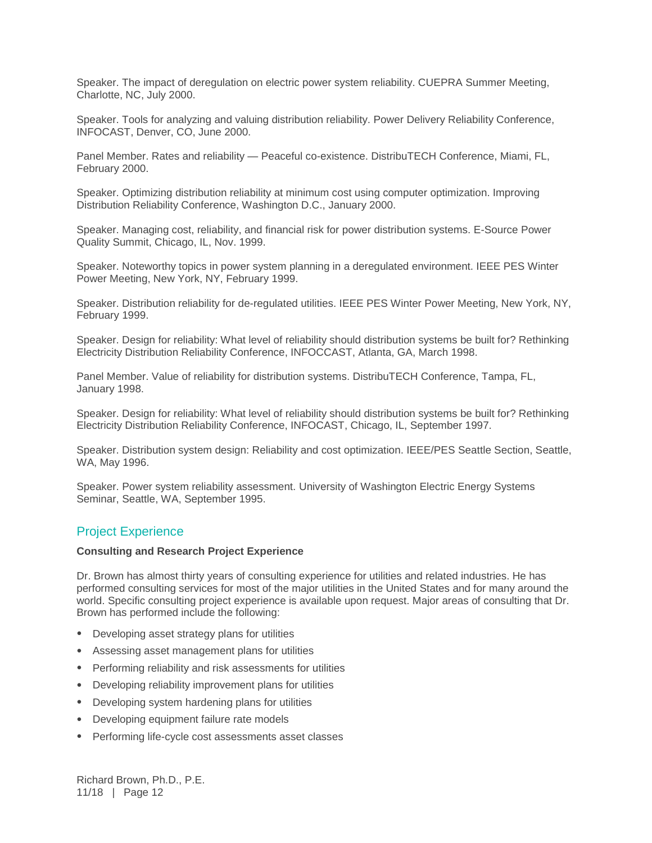Speaker. The impact of deregulation on electric power system reliability. CUEPRA Summer Meeting, Charlotte, NC, July 2000.

Speaker. Tools for analyzing and valuing distribution reliability. Power Delivery Reliability Conference, INFOCAST, Denver, CO, June 2000.

Panel Member. Rates and reliability — Peaceful co-existence. DistribuTECH Conference, Miami, FL, February 2000.

Speaker. Optimizing distribution reliability at minimum cost using computer optimization. Improving Distribution Reliability Conference, Washington D.C., January 2000.

Speaker. Managing cost, reliability, and financial risk for power distribution systems. E-Source Power Quality Summit, Chicago, IL, Nov. 1999.

Speaker. Noteworthy topics in power system planning in a deregulated environment. IEEE PES Winter Power Meeting, New York, NY, February 1999.

Speaker. Distribution reliability for de-regulated utilities. IEEE PES Winter Power Meeting, New York, NY, February 1999.

Speaker. Design for reliability: What level of reliability should distribution systems be built for? Rethinking Electricity Distribution Reliability Conference, INFOCCAST, Atlanta, GA, March 1998.

Panel Member. Value of reliability for distribution systems. DistribuTECH Conference, Tampa, FL, January 1998.

Speaker. Design for reliability: What level of reliability should distribution systems be built for? Rethinking Electricity Distribution Reliability Conference, INFOCAST, Chicago, IL, September 1997.

Speaker. Distribution system design: Reliability and cost optimization. IEEE/PES Seattle Section, Seattle, WA, May 1996.

Speaker. Power system reliability assessment. University of Washington Electric Energy Systems Seminar, Seattle, WA, September 1995.

### Project Experience

#### **Consulting and Research Project Experience**

Dr. Brown has almost thirty years of consulting experience for utilities and related industries. He has performed consulting services for most of the major utilities in the United States and for many around the world. Specific consulting project experience is available upon request. Major areas of consulting that Dr. Brown has performed include the following:

- Developing asset strategy plans for utilities
- Assessing asset management plans for utilities
- Performing reliability and risk assessments for utilities
- Developing reliability improvement plans for utilities
- Developing system hardening plans for utilities
- Developing equipment failure rate models
- Performing life-cycle cost assessments asset classes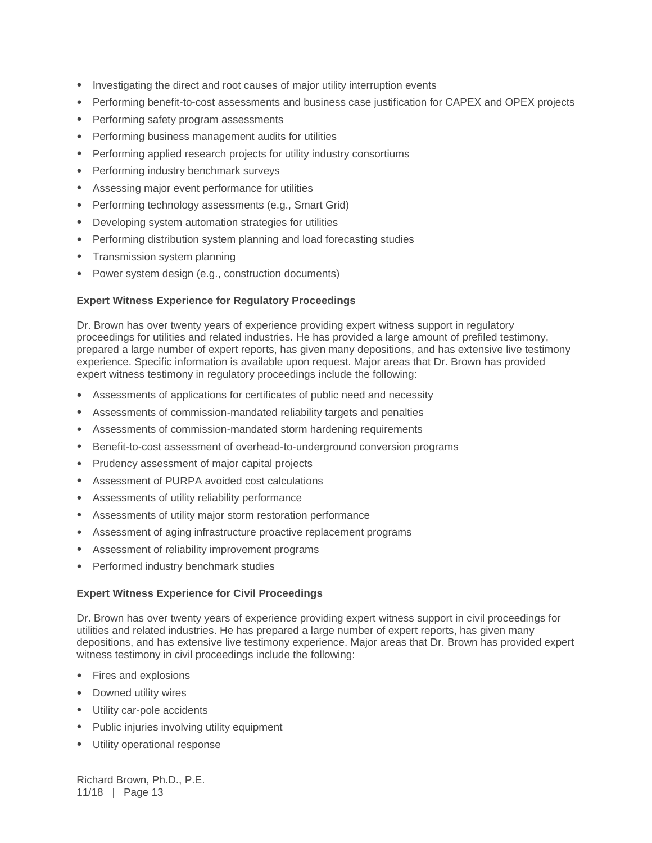- Investigating the direct and root causes of major utility interruption events
- Performing benefit-to-cost assessments and business case justification for CAPEX and OPEX projects
- Performing safety program assessments
- Performing business management audits for utilities
- Performing applied research projects for utility industry consortiums
- Performing industry benchmark surveys
- Assessing major event performance for utilities
- Performing technology assessments (e.g., Smart Grid)
- Developing system automation strategies for utilities
- Performing distribution system planning and load forecasting studies
- Transmission system planning
- Power system design (e.g., construction documents)

#### **Expert Witness Experience for Regulatory Proceedings**

Dr. Brown has over twenty years of experience providing expert witness support in regulatory proceedings for utilities and related industries. He has provided a large amount of prefiled testimony, prepared a large number of expert reports, has given many depositions, and has extensive live testimony experience. Specific information is available upon request. Major areas that Dr. Brown has provided expert witness testimony in regulatory proceedings include the following:

- Assessments of applications for certificates of public need and necessity
- Assessments of commission-mandated reliability targets and penalties
- Assessments of commission-mandated storm hardening requirements
- Benefit-to-cost assessment of overhead-to-underground conversion programs
- Prudency assessment of major capital projects
- Assessment of PURPA avoided cost calculations
- Assessments of utility reliability performance
- Assessments of utility major storm restoration performance
- Assessment of aging infrastructure proactive replacement programs
- Assessment of reliability improvement programs
- Performed industry benchmark studies

#### **Expert Witness Experience for Civil Proceedings**

Dr. Brown has over twenty years of experience providing expert witness support in civil proceedings for utilities and related industries. He has prepared a large number of expert reports, has given many depositions, and has extensive live testimony experience. Major areas that Dr. Brown has provided expert witness testimony in civil proceedings include the following:

- Fires and explosions
- Downed utility wires
- Utility car-pole accidents
- Public injuries involving utility equipment
- Utility operational response